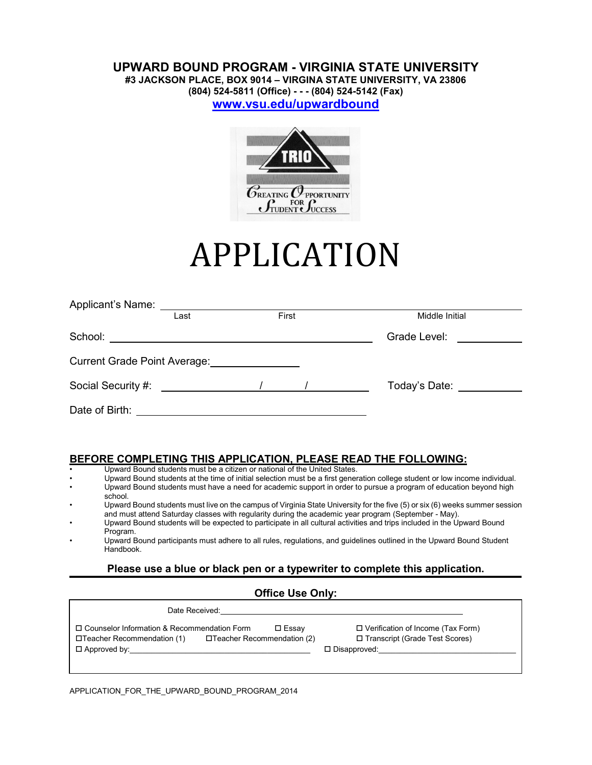# **UPWARD BOUND PROGRAM - VIRGINIA STATE UNIVERSITY**

**#3 JACKSON PLACE, BOX 9014 – VIRGINA STATE UNIVERSITY, VA 23806**

**(804) 524-5811 (Office) - - - (804) 524-5142 (Fax)**

**www.vsu.edu/upwardbound**



# APPLICATION

| Applicant's Name:  |  |       |                |  |  |
|--------------------|--|-------|----------------|--|--|
| Last               |  | First | Middle Initial |  |  |
| School:            |  |       | Grade Level:   |  |  |
|                    |  |       |                |  |  |
| Social Security #: |  |       | Today's Date:  |  |  |
| Date of Birth:     |  |       |                |  |  |

#### **BEFORE COMPLETING THIS APPLICATION, PLEASE READ THE FOLLOWING:**

- Upward Bound students must be a citizen or national of the United States.
- Upward Bound students at the time of initial selection must be a first generation college student or low income individual.
- Upward Bound students must have a need for academic support in order to pursue a program of education beyond high school.
- Upward Bound students must live on the campus of Virginia State University for the five (5) or six (6) weeks summer session and must attend Saturday classes with regularity during the academic year program (September - May).
- Upward Bound students will be expected to participate in all cultural activities and trips included in the Upward Bound Program.
- Upward Bound participants must adhere to all rules, regulations, and guidelines outlined in the Upward Bound Student **Handbook**

## **Please use a blue or black pen or a typewriter to complete this application.**

#### **Office Use Only:**

| Date Received:                                |                             |                                          |
|-----------------------------------------------|-----------------------------|------------------------------------------|
| □ Counselor Information & Recommendation Form | $\square$ Essay             | $\Box$ Verification of Income (Tax Form) |
| □Teacher Recommendation (1)                   | □Teacher Recommendation (2) | □ Transcript (Grade Test Scores)         |
| $\Box$ Approved by:                           |                             | $\Box$ Disapproved:                      |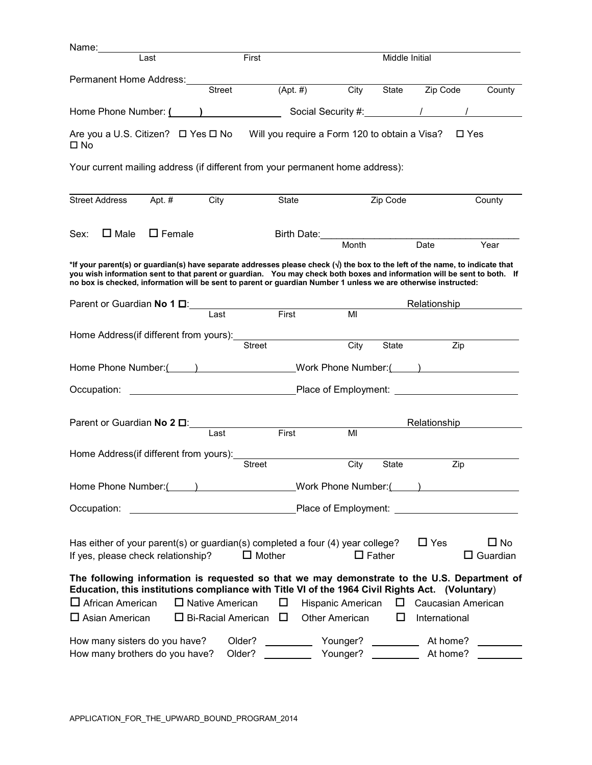| Name: _________                        |        |               |                                                                                                                                                                                                                                                                                                                                                                                      |                                                                                         |                      |          |                                                           |                     |               |                              |
|----------------------------------------|--------|---------------|--------------------------------------------------------------------------------------------------------------------------------------------------------------------------------------------------------------------------------------------------------------------------------------------------------------------------------------------------------------------------------------|-----------------------------------------------------------------------------------------|----------------------|----------|-----------------------------------------------------------|---------------------|---------------|------------------------------|
|                                        | Last   |               | First                                                                                                                                                                                                                                                                                                                                                                                |                                                                                         |                      |          | Middle Initial                                            |                     |               |                              |
| Permanent Home Address:                |        |               |                                                                                                                                                                                                                                                                                                                                                                                      |                                                                                         |                      |          |                                                           |                     |               |                              |
|                                        |        |               | <b>Street</b>                                                                                                                                                                                                                                                                                                                                                                        | $(Apt. \#)$                                                                             |                      | City     | State                                                     | Zip Code            |               | County                       |
|                                        |        |               | Home Phone Number: ( )                                                                                                                                                                                                                                                                                                                                                               |                                                                                         |                      |          |                                                           |                     |               |                              |
| $\square$ No                           |        |               | Are you a U.S. Citizen? $\Box$ Yes $\Box$ No Will you require a Form 120 to obtain a Visa?                                                                                                                                                                                                                                                                                           |                                                                                         |                      |          |                                                           |                     | $\square$ Yes |                              |
|                                        |        |               | Your current mailing address (if different from your permanent home address):                                                                                                                                                                                                                                                                                                        |                                                                                         |                      |          |                                                           |                     |               |                              |
| <b>Street Address</b>                  | Apt. # |               | City                                                                                                                                                                                                                                                                                                                                                                                 | State                                                                                   |                      |          | Zip Code                                                  |                     |               | County                       |
| Sex:<br>$\square$ Male                 |        | $\Box$ Female |                                                                                                                                                                                                                                                                                                                                                                                      |                                                                                         | Birth Date:<br>Month |          |                                                           |                     |               |                              |
|                                        |        |               |                                                                                                                                                                                                                                                                                                                                                                                      |                                                                                         |                      |          |                                                           | $\overline{Date}$   |               | Year                         |
|                                        |        |               | *If your parent(s) or guardian(s) have separate addresses please check ( $\sqrt{ }$ ) the box to the left of the name, to indicate that<br>you wish information sent to that parent or guardian. You may check both boxes and information will be sent to both. If<br>no box is checked, information will be sent to parent or guardian Number 1 unless we are otherwise instructed: |                                                                                         |                      |          |                                                           |                     |               |                              |
|                                        |        |               | Parent or Guardian No 1 D: Last First                                                                                                                                                                                                                                                                                                                                                |                                                                                         |                      |          |                                                           | Relationship        |               |                              |
|                                        |        |               |                                                                                                                                                                                                                                                                                                                                                                                      |                                                                                         |                      | MI       |                                                           |                     |               |                              |
|                                        |        |               | Home Address(if different from yours): <u>manual contracts</u><br>Street                                                                                                                                                                                                                                                                                                             |                                                                                         |                      | City     | State                                                     |                     | Zip           |                              |
|                                        |        |               | Home Phone Number: ( ) Work Phone Number: ( )                                                                                                                                                                                                                                                                                                                                        |                                                                                         |                      |          |                                                           |                     |               |                              |
|                                        |        |               |                                                                                                                                                                                                                                                                                                                                                                                      |                                                                                         |                      |          |                                                           |                     |               |                              |
|                                        |        |               | Parent or Guardian No 2 $\square$                                                                                                                                                                                                                                                                                                                                                    |                                                                                         |                      |          |                                                           | <b>Relationship</b> |               |                              |
|                                        |        |               | Last                                                                                                                                                                                                                                                                                                                                                                                 | First                                                                                   |                      | MI       |                                                           |                     |               |                              |
| Home Address(if different from yours): |        |               |                                                                                                                                                                                                                                                                                                                                                                                      |                                                                                         |                      |          |                                                           |                     |               |                              |
|                                        |        |               | <b>Street</b>                                                                                                                                                                                                                                                                                                                                                                        |                                                                                         |                      | City     | State                                                     |                     | Zip           |                              |
|                                        |        |               | Home Phone Number: ( ) Work Phone Number: ( )                                                                                                                                                                                                                                                                                                                                        |                                                                                         |                      |          |                                                           |                     |               |                              |
| Occupation:                            |        |               |                                                                                                                                                                                                                                                                                                                                                                                      |                                                                                         |                      |          |                                                           |                     |               |                              |
| If yes, please check relationship?     |        |               | Has either of your parent(s) or guardian(s) completed a four (4) year college?<br>$\Box$ Mother                                                                                                                                                                                                                                                                                      |                                                                                         |                      |          | $\Box$ Father                                             | $\Box$ Yes          |               | $\Box$ No<br>$\Box$ Guardian |
|                                        |        |               | The following information is requested so that we may demonstrate to the U.S. Department of<br>Education, this institutions compliance with Title VI of the 1964 Civil Rights Act. (Voluntary)                                                                                                                                                                                       |                                                                                         |                      |          |                                                           |                     |               |                              |
| $\Box$ African American                |        |               | $\Box$ Native American                                                                                                                                                                                                                                                                                                                                                               | ΙI                                                                                      | Hispanic American    |          | □                                                         | Caucasian American  |               |                              |
| $\Box$ Asian American                  |        |               | $\Box$ Bi-Racial American $\Box$                                                                                                                                                                                                                                                                                                                                                     |                                                                                         | Other American       |          | ⊔                                                         | International       |               |                              |
| How many sisters do you have?          |        |               | Older?                                                                                                                                                                                                                                                                                                                                                                               | $\mathcal{L}^{\text{max}}_{\text{max}}$ , where $\mathcal{L}^{\text{max}}_{\text{max}}$ |                      | Younger? | $\mathcal{L}_{\text{max}}$ and $\mathcal{L}_{\text{max}}$ | At home?            |               |                              |
| How many brothers do you have?         |        |               | Older?                                                                                                                                                                                                                                                                                                                                                                               | <u>and the state</u>                                                                    |                      | Younger? |                                                           | At home?            |               |                              |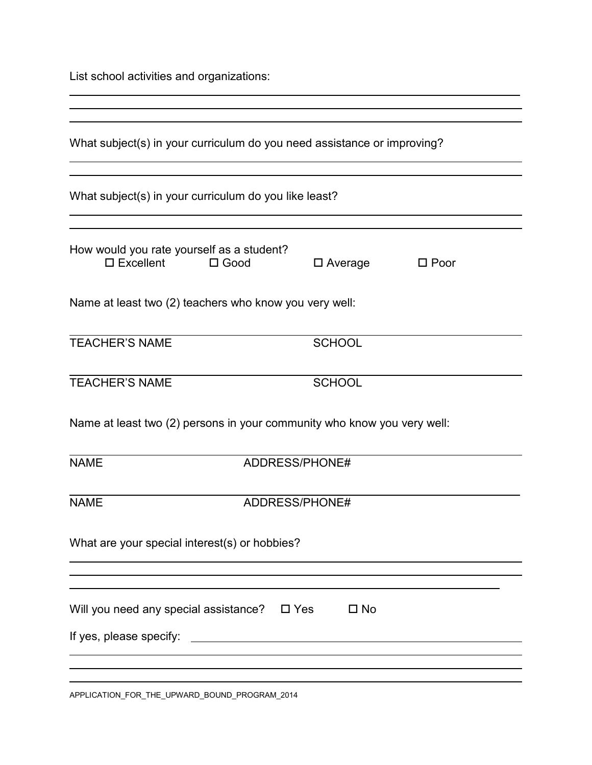List school activities and organizations:

 $\overline{a}$ 

| What subject(s) in your curriculum do you need assistance or improving?<br>What subject(s) in your curriculum do you like least?<br>How would you rate yourself as a student?<br>$\square$ Excellent<br>$\square$ Good<br>$\square$ Average<br>$\square$ Poor<br>Name at least two (2) teachers who know you very well:<br><b>TEACHER'S NAME</b><br><b>SCHOOL</b><br><b>TEACHER'S NAME</b><br><b>SCHOOL</b><br>Name at least two (2) persons in your community who know you very well:<br><b>NAME</b><br>ADDRESS/PHONE#<br><b>NAME</b><br>ADDRESS/PHONE# |
|----------------------------------------------------------------------------------------------------------------------------------------------------------------------------------------------------------------------------------------------------------------------------------------------------------------------------------------------------------------------------------------------------------------------------------------------------------------------------------------------------------------------------------------------------------|
|                                                                                                                                                                                                                                                                                                                                                                                                                                                                                                                                                          |
|                                                                                                                                                                                                                                                                                                                                                                                                                                                                                                                                                          |
|                                                                                                                                                                                                                                                                                                                                                                                                                                                                                                                                                          |
|                                                                                                                                                                                                                                                                                                                                                                                                                                                                                                                                                          |
|                                                                                                                                                                                                                                                                                                                                                                                                                                                                                                                                                          |
|                                                                                                                                                                                                                                                                                                                                                                                                                                                                                                                                                          |
|                                                                                                                                                                                                                                                                                                                                                                                                                                                                                                                                                          |
|                                                                                                                                                                                                                                                                                                                                                                                                                                                                                                                                                          |
|                                                                                                                                                                                                                                                                                                                                                                                                                                                                                                                                                          |
| What are your special interest(s) or hobbies?                                                                                                                                                                                                                                                                                                                                                                                                                                                                                                            |
| Will you need any special assistance? $\Box$ Yes<br>$\square$ No                                                                                                                                                                                                                                                                                                                                                                                                                                                                                         |
|                                                                                                                                                                                                                                                                                                                                                                                                                                                                                                                                                          |

APPLICATION\_FOR\_THE\_UPWARD\_BOUND\_PROGRAM\_2014